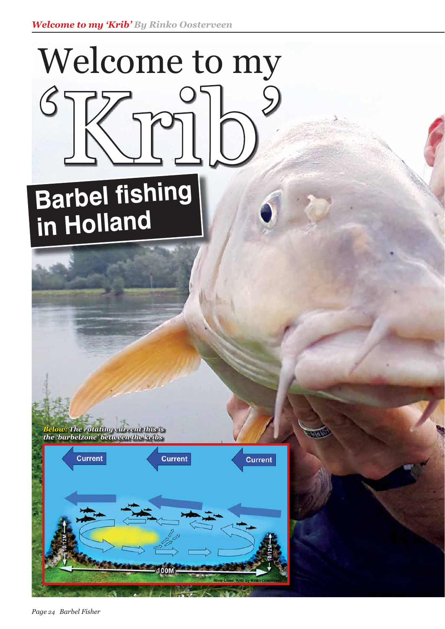## Welcome to my 'Krib'

## **Barbel fishing in Holland**

*Below:The rotating current this is The the 'barbelzone' between the kribs he* 



*Page 24 Barbel Fisher*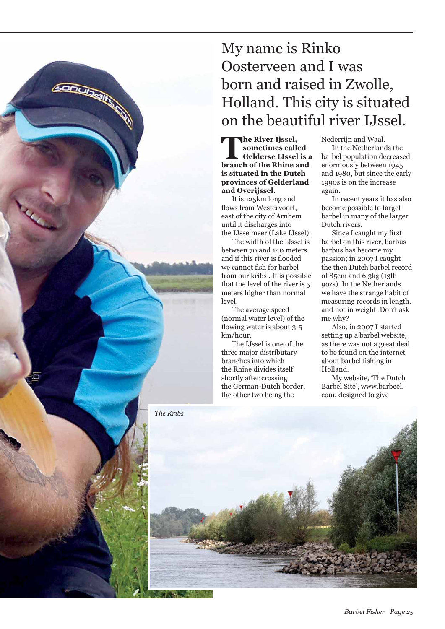## My name is Rinko Oosterveen and I was born and raised in Zwolle, Holland. This city is situated on the beautiful river IJssel.

**The River Ijssel, sometimes called Gelderse IJssel is a branch of the Rhine and is situated in the Dutch provinces of Gelderland and Overijssel.** 

 It is 125km long and flows from Westervoort, east of the city of Arnhem until it discharges into the IJsselmeer (Lake IJssel).

 The width of the IJssel is between 70 and 140 meters and if this river is flooded we cannot fish for barbel from our kribs . It is possible that the level of the river is 5 meters higher than normal level.

 The average speed (normal water level) of the flowing water is about  $3-5$ km/hour.

 The IJssel is one of the three major distributary branches into which the Rhine divides itself shortly after crossing the German-Dutch border, the other two being the

**CONTRACTOR** 

Nederrijn and Waal.

 In the Netherlands the barbel population decreased enormously between 1945 and 1980, but since the early 1990s is on the increase again.

 In recent years it has also become possible to target barbel in many of the larger Dutch rivers.

Since I caught my first barbel on this river, barbus barbus has become my passion; in 2007 I caught the then Dutch barbel record of 85cm and 6.3kg (13lb 9ozs). In the Netherlands we have the strange habit of measuring records in length, and not in weight. Don't ask me why?

 Also, in 2007 I started setting up a barbel website, as there was not a great deal to be found on the internet about barbel fishing in Holland.

 My website, 'The Dutch Barbel Site', www.barbeel. com, designed to give

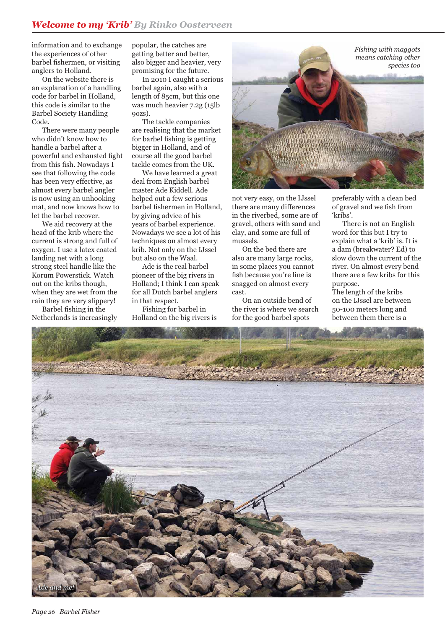information and to exchange the experiences of other barbel fishermen, or visiting anglers to Holland.

 On the website there is an explanation of a handling code for barbel in Holland, this code is similar to the Barbel Society Handling Code.

 There were many people who didn't know how to handle a barbel after a powerful and exhausted fight from this fish. Nowadays I see that following the code has been very effective, as almost every barbel angler is now using an unhooking mat, and now knows how to let the barbel recover.

 We aid recovery at the head of the krib where the current is strong and full of oxygen. I use a latex coated landing net with a long strong steel handle like the Korum Powerstick. Watch out on the kribs though, when they are wet from the rain they are very slippery!

Barbel fishing in the Netherlands is increasingly popular, the catches are getting better and better, also bigger and heavier, very promising for the future.

 In 2010 I caught a serious barbel again, also with a length of 85cm, but this one was much heavier 7.2g (15lb 9ozs).

 The tackle companies are realising that the market for barbel fishing is getting bigger in Holland, and of course all the good barbel tackle comes from the UK.

 We have learned a great deal from English barbel master Ade Kiddell. Ade helped out a few serious barbel fishermen in Holland, by giving advice of his years of barbel experience. Nowadays we see a lot of his techniques on almost every krib. Not only on the IJssel but also on the Waal.

 Ade is the real barbel pioneer of the big rivers in Holland; I think I can speak for all Dutch barbel anglers in that respect.

 Fishing for barbel in Holland on the big rivers is



not very easy, on the IJssel there are many differences in the riverbed, some are of gravel, others with sand and clay, and some are full of mussels.

 On the bed there are also are many large rocks, in some places you cannot fish because you're line is snagged on almost every cast.

 On an outside bend of the river is where we search for the good barbel spots

preferably with a clean bed of gravel and we fish from 'kribs'.

 There is not an English word for this but I try to explain what a 'krib' is. It is a dam (breakwater? Ed) to slow down the current of the river. On almost every bend there are a few kribs for this purpose.

The length of the kribs on the IJssel are between 50-100 meters long and between them there is a